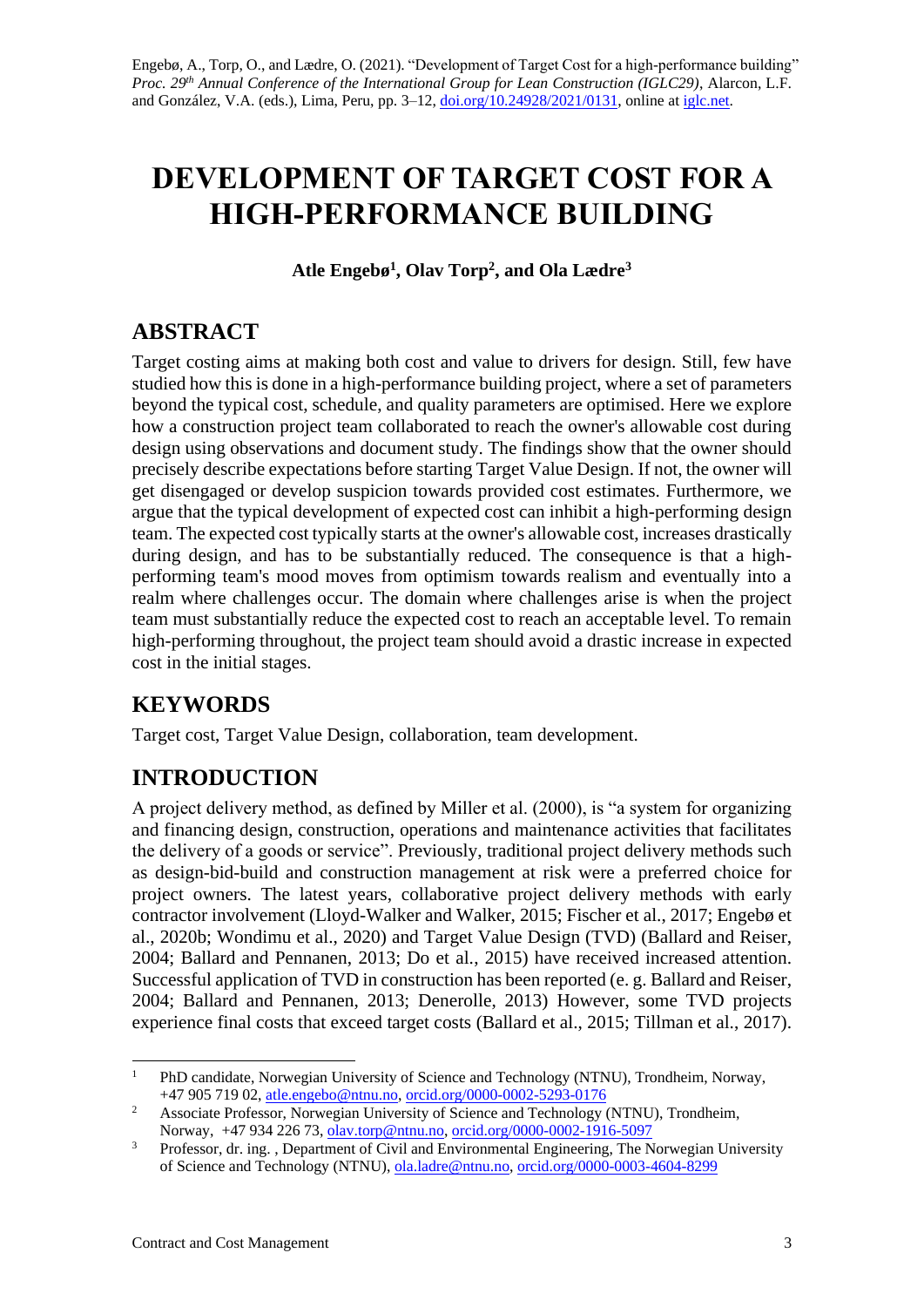# **DEVELOPMENT OF TARGET COST FOR A HIGH-PERFORMANCE BUILDING**

**Atle Engebø<sup>1</sup> , Olav Torp<sup>2</sup> , and Ola Lædre<sup>3</sup>**

## **ABSTRACT**

Target costing aims at making both cost and value to drivers for design. Still, few have studied how this is done in a high-performance building project, where a set of parameters beyond the typical cost, schedule, and quality parameters are optimised. Here we explore how a construction project team collaborated to reach the owner's allowable cost during design using observations and document study. The findings show that the owner should precisely describe expectations before starting Target Value Design. If not, the owner will get disengaged or develop suspicion towards provided cost estimates. Furthermore, we argue that the typical development of expected cost can inhibit a high-performing design team. The expected cost typically starts at the owner's allowable cost, increases drastically during design, and has to be substantially reduced. The consequence is that a highperforming team's mood moves from optimism towards realism and eventually into a realm where challenges occur. The domain where challenges arise is when the project team must substantially reduce the expected cost to reach an acceptable level. To remain high-performing throughout, the project team should avoid a drastic increase in expected cost in the initial stages.

# **KEYWORDS**

Target cost, Target Value Design, collaboration, team development.

# **INTRODUCTION**

A project delivery method, as defined by Miller et al. (2000), is "a system for organizing and financing design, construction, operations and maintenance activities that facilitates the delivery of a goods or service". Previously, traditional project delivery methods such as design-bid-build and construction management at risk were a preferred choice for project owners. The latest years, collaborative project delivery methods with early contractor involvement (Lloyd-Walker and Walker, 2015; Fischer et al., 2017; Engebø et al., 2020b; Wondimu et al., 2020) and Target Value Design (TVD) (Ballard and Reiser, 2004; Ballard and Pennanen, 2013; Do et al., 2015) have received increased attention. Successful application of TVD in construction has been reported (e. g. Ballard and Reiser, 2004; Ballard and Pennanen, 2013; Denerolle, 2013) However, some TVD projects experience final costs that exceed target costs (Ballard et al., 2015; Tillman et al., 2017).

<sup>&</sup>lt;sup>1</sup> PhD candidate, Norwegian University of Science and Technology (NTNU), Trondheim, Norway, +47 905 719 02, [atle.engebo@ntnu.no,](mailto:atle.engebo@ntnu.no) [orcid.org/0000-0002-5293-0176](https://orcid.org/0000-0002-5293-0176)

<sup>&</sup>lt;sup>2</sup> Associate Professor, Norwegian University of Science and Technology (NTNU), Trondheim, Norway, +47 934 226 73, [olav.torp@ntnu.no,](mailto:olav.torp@ntnu.no) [orcid.org/0000-0002-1916-5097](https://orcid.org/0000-0002-1916-5097)

<sup>&</sup>lt;sup>3</sup> Professor, dr. ing. , Department of Civil and Environmental Engineering, The Norwegian University of Science and Technology (NTNU), [ola.ladre@ntnu.no,](mailto:ola.ladre@ntnu.no) [orcid.org/0000-0003-4604-8299](https://orcid.org/0000-0003-4604-8299)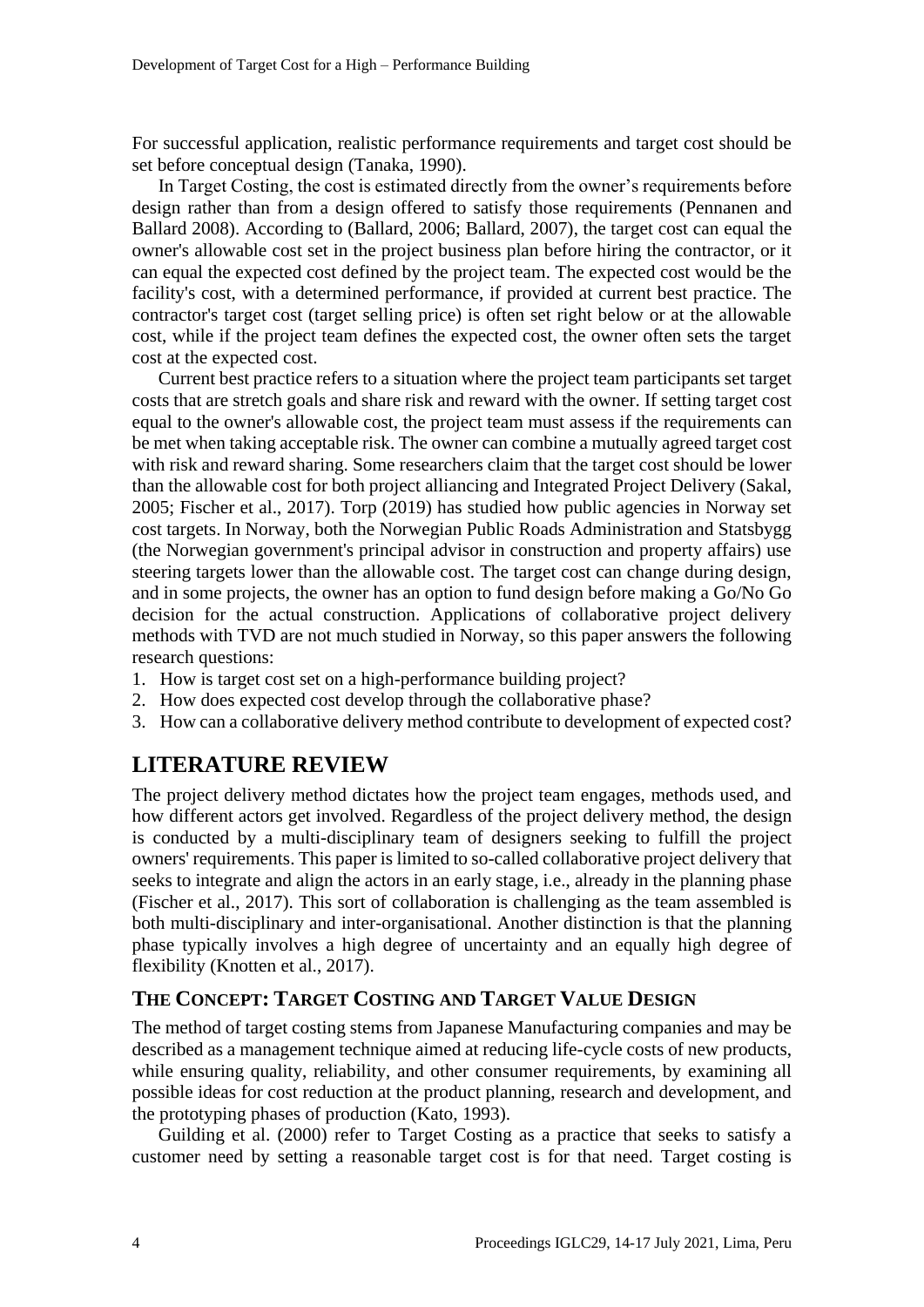For successful application, realistic performance requirements and target cost should be set before conceptual design (Tanaka, 1990).

In Target Costing, the cost is estimated directly from the owner's requirements before design rather than from a design offered to satisfy those requirements (Pennanen and Ballard 2008). According to (Ballard, 2006; Ballard, 2007), the target cost can equal the owner's allowable cost set in the project business plan before hiring the contractor, or it can equal the expected cost defined by the project team. The expected cost would be the facility's cost, with a determined performance, if provided at current best practice. The contractor's target cost (target selling price) is often set right below or at the allowable cost, while if the project team defines the expected cost, the owner often sets the target cost at the expected cost.

Current best practice refers to a situation where the project team participants set target costs that are stretch goals and share risk and reward with the owner. If setting target cost equal to the owner's allowable cost, the project team must assess if the requirements can be met when taking acceptable risk. The owner can combine a mutually agreed target cost with risk and reward sharing. Some researchers claim that the target cost should be lower than the allowable cost for both project alliancing and Integrated Project Delivery (Sakal, 2005; Fischer et al., 2017). Torp (2019) has studied how public agencies in Norway set cost targets. In Norway, both the Norwegian Public Roads Administration and Statsbygg (the Norwegian government's principal advisor in construction and property affairs) use steering targets lower than the allowable cost. The target cost can change during design, and in some projects, the owner has an option to fund design before making a Go/No Go decision for the actual construction. Applications of collaborative project delivery methods with TVD are not much studied in Norway, so this paper answers the following research questions:

- 1. How is target cost set on a high-performance building project?
- 2. How does expected cost develop through the collaborative phase?
- 3. How can a collaborative delivery method contribute to development of expected cost?

### **LITERATURE REVIEW**

The project delivery method dictates how the project team engages, methods used, and how different actors get involved. Regardless of the project delivery method, the design is conducted by a multi-disciplinary team of designers seeking to fulfill the project owners' requirements. This paper is limited to so-called collaborative project delivery that seeks to integrate and align the actors in an early stage, i.e., already in the planning phase (Fischer et al., 2017). This sort of collaboration is challenging as the team assembled is both multi-disciplinary and inter-organisational. Another distinction is that the planning phase typically involves a high degree of uncertainty and an equally high degree of flexibility (Knotten et al., 2017).

### **THE CONCEPT: TARGET COSTING AND TARGET VALUE DESIGN**

The method of target costing stems from Japanese Manufacturing companies and may be described as a management technique aimed at reducing life-cycle costs of new products, while ensuring quality, reliability, and other consumer requirements, by examining all possible ideas for cost reduction at the product planning, research and development, and the prototyping phases of production (Kato, 1993).

Guilding et al. (2000) refer to Target Costing as a practice that seeks to satisfy a customer need by setting a reasonable target cost is for that need. Target costing is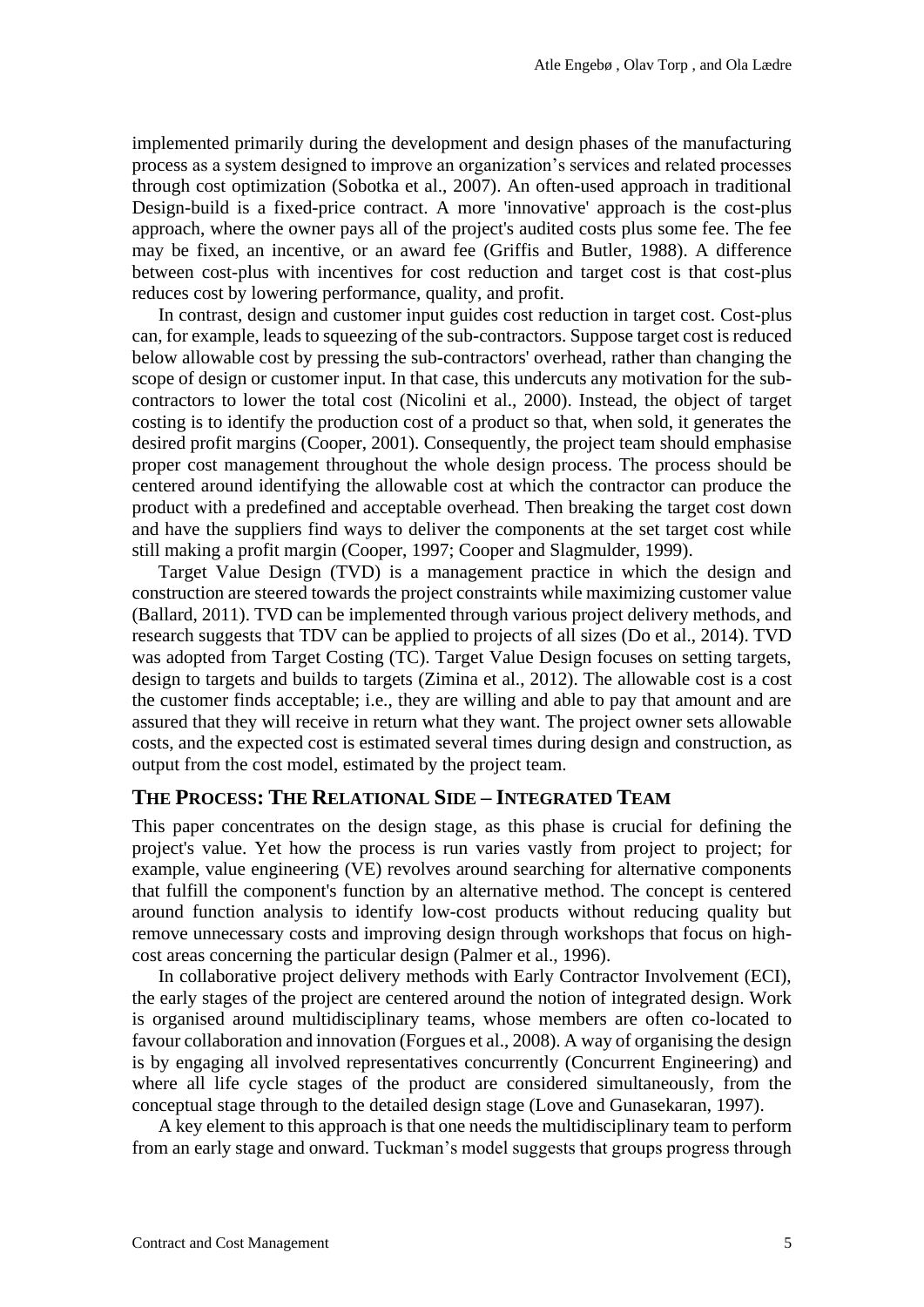implemented primarily during the development and design phases of the manufacturing process as a system designed to improve an organization's services and related processes through cost optimization (Sobotka et al., 2007). An often-used approach in traditional Design-build is a fixed-price contract. A more 'innovative' approach is the cost-plus approach, where the owner pays all of the project's audited costs plus some fee. The fee may be fixed, an incentive, or an award fee (Griffis and Butler, 1988). A difference between cost-plus with incentives for cost reduction and target cost is that cost-plus reduces cost by lowering performance, quality, and profit.

In contrast, design and customer input guides cost reduction in target cost. Cost-plus can, for example, leads to squeezing of the sub-contractors. Suppose target cost is reduced below allowable cost by pressing the sub-contractors' overhead, rather than changing the scope of design or customer input. In that case, this undercuts any motivation for the subcontractors to lower the total cost (Nicolini et al., 2000). Instead, the object of target costing is to identify the production cost of a product so that, when sold, it generates the desired profit margins (Cooper, 2001). Consequently, the project team should emphasise proper cost management throughout the whole design process. The process should be centered around identifying the allowable cost at which the contractor can produce the product with a predefined and acceptable overhead. Then breaking the target cost down and have the suppliers find ways to deliver the components at the set target cost while still making a profit margin (Cooper, 1997; Cooper and Slagmulder, 1999).

Target Value Design (TVD) is a management practice in which the design and construction are steered towards the project constraints while maximizing customer value (Ballard, 2011). TVD can be implemented through various project delivery methods, and research suggests that TDV can be applied to projects of all sizes (Do et al., 2014). TVD was adopted from Target Costing (TC). Target Value Design focuses on setting targets, design to targets and builds to targets (Zimina et al., 2012). The allowable cost is a cost the customer finds acceptable; i.e., they are willing and able to pay that amount and are assured that they will receive in return what they want. The project owner sets allowable costs, and the expected cost is estimated several times during design and construction, as output from the cost model, estimated by the project team.

#### **THE PROCESS: THE RELATIONAL SIDE – INTEGRATED TEAM**

This paper concentrates on the design stage, as this phase is crucial for defining the project's value. Yet how the process is run varies vastly from project to project; for example, value engineering (VE) revolves around searching for alternative components that fulfill the component's function by an alternative method. The concept is centered around function analysis to identify low-cost products without reducing quality but remove unnecessary costs and improving design through workshops that focus on highcost areas concerning the particular design (Palmer et al., 1996).

In collaborative project delivery methods with Early Contractor Involvement (ECI), the early stages of the project are centered around the notion of integrated design. Work is organised around multidisciplinary teams, whose members are often co-located to favour collaboration and innovation (Forgues et al., 2008). A way of organising the design is by engaging all involved representatives concurrently (Concurrent Engineering) and where all life cycle stages of the product are considered simultaneously, from the conceptual stage through to the detailed design stage (Love and Gunasekaran, 1997).

A key element to this approach is that one needs the multidisciplinary team to perform from an early stage and onward. Tuckman's model suggests that groups progress through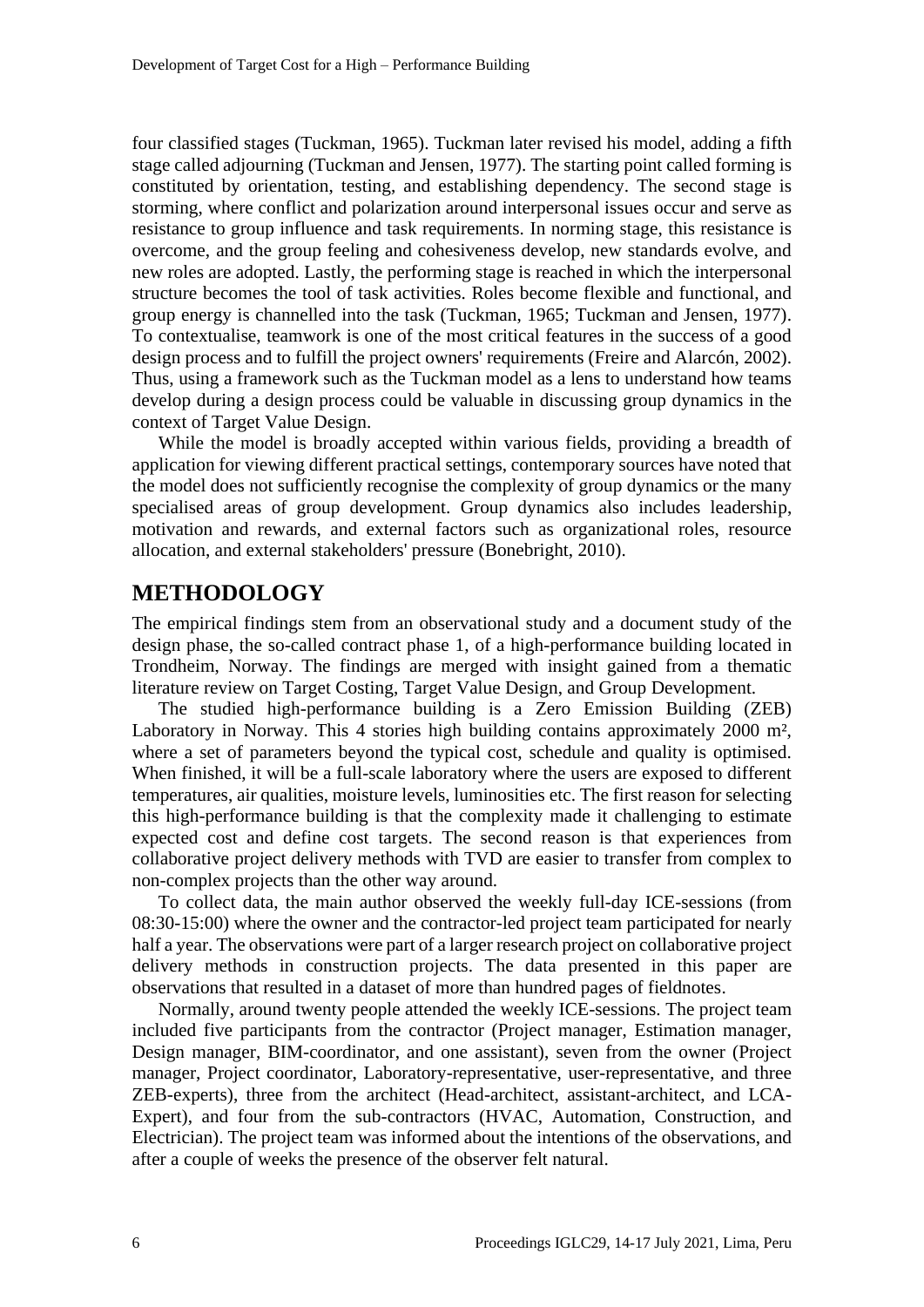four classified stages (Tuckman, 1965). Tuckman later revised his model, adding a fifth stage called adjourning (Tuckman and Jensen, 1977). The starting point called forming is constituted by orientation, testing, and establishing dependency. The second stage is storming, where conflict and polarization around interpersonal issues occur and serve as resistance to group influence and task requirements. In norming stage, this resistance is overcome, and the group feeling and cohesiveness develop, new standards evolve, and new roles are adopted. Lastly, the performing stage is reached in which the interpersonal structure becomes the tool of task activities. Roles become flexible and functional, and group energy is channelled into the task (Tuckman, 1965; Tuckman and Jensen, 1977). To contextualise, teamwork is one of the most critical features in the success of a good design process and to fulfill the project owners' requirements (Freire and Alarcón, 2002). Thus, using a framework such as the Tuckman model as a lens to understand how teams develop during a design process could be valuable in discussing group dynamics in the context of Target Value Design.

While the model is broadly accepted within various fields, providing a breadth of application for viewing different practical settings, contemporary sources have noted that the model does not sufficiently recognise the complexity of group dynamics or the many specialised areas of group development. Group dynamics also includes leadership, motivation and rewards, and external factors such as organizational roles, resource allocation, and external stakeholders' pressure (Bonebright, 2010).

### **METHODOLOGY**

The empirical findings stem from an observational study and a document study of the design phase, the so-called contract phase 1, of a high-performance building located in Trondheim, Norway. The findings are merged with insight gained from a thematic literature review on Target Costing, Target Value Design, and Group Development.

The studied high-performance building is a Zero Emission Building (ZEB) Laboratory in Norway. This 4 stories high building contains approximately 2000 m<sup>2</sup>, where a set of parameters beyond the typical cost, schedule and quality is optimised. When finished, it will be a full-scale laboratory where the users are exposed to different temperatures, air qualities, moisture levels, luminosities etc. The first reason for selecting this high-performance building is that the complexity made it challenging to estimate expected cost and define cost targets. The second reason is that experiences from collaborative project delivery methods with TVD are easier to transfer from complex to non-complex projects than the other way around.

To collect data, the main author observed the weekly full-day ICE-sessions (from 08:30-15:00) where the owner and the contractor-led project team participated for nearly half a year. The observations were part of a larger research project on collaborative project delivery methods in construction projects. The data presented in this paper are observations that resulted in a dataset of more than hundred pages of fieldnotes.

Normally, around twenty people attended the weekly ICE-sessions. The project team included five participants from the contractor (Project manager, Estimation manager, Design manager, BIM-coordinator, and one assistant), seven from the owner (Project manager, Project coordinator, Laboratory-representative, user-representative, and three ZEB-experts), three from the architect (Head-architect, assistant-architect, and LCA-Expert), and four from the sub-contractors (HVAC, Automation, Construction, and Electrician). The project team was informed about the intentions of the observations, and after a couple of weeks the presence of the observer felt natural.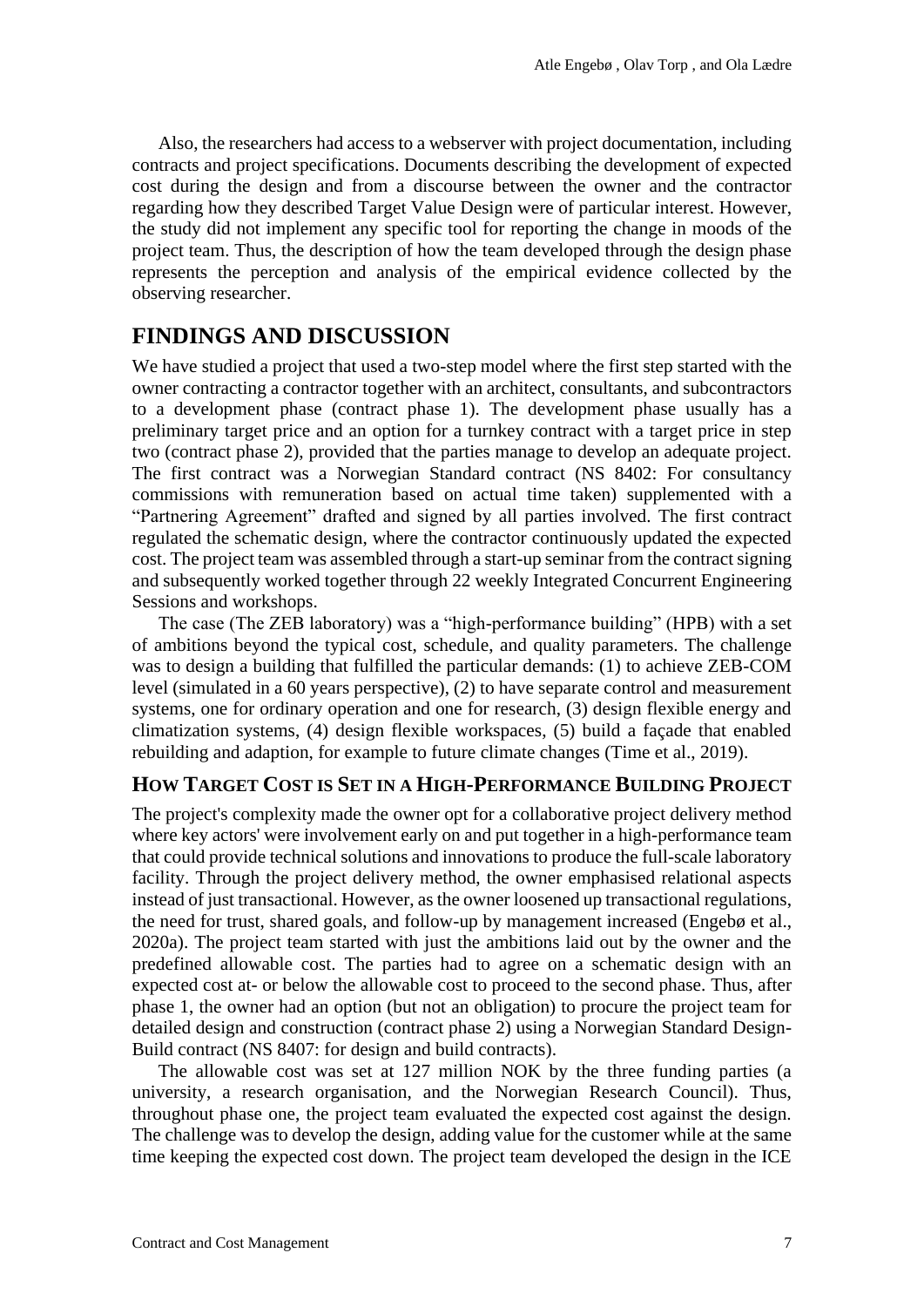Also, the researchers had access to a webserver with project documentation, including contracts and project specifications. Documents describing the development of expected cost during the design and from a discourse between the owner and the contractor regarding how they described Target Value Design were of particular interest. However, the study did not implement any specific tool for reporting the change in moods of the project team. Thus, the description of how the team developed through the design phase represents the perception and analysis of the empirical evidence collected by the observing researcher.

### **FINDINGS AND DISCUSSION**

We have studied a project that used a two-step model where the first step started with the owner contracting a contractor together with an architect, consultants, and subcontractors to a development phase (contract phase 1). The development phase usually has a preliminary target price and an option for a turnkey contract with a target price in step two (contract phase 2), provided that the parties manage to develop an adequate project. The first contract was a Norwegian Standard contract (NS 8402: For consultancy commissions with remuneration based on actual time taken) supplemented with a "Partnering Agreement" drafted and signed by all parties involved. The first contract regulated the schematic design, where the contractor continuously updated the expected cost. The project team was assembled through a start-up seminar from the contract signing and subsequently worked together through 22 weekly Integrated Concurrent Engineering Sessions and workshops.

The case (The ZEB laboratory) was a "high-performance building" (HPB) with a set of ambitions beyond the typical cost, schedule, and quality parameters. The challenge was to design a building that fulfilled the particular demands: (1) to achieve ZEB-COM level (simulated in a 60 years perspective), (2) to have separate control and measurement systems, one for ordinary operation and one for research, (3) design flexible energy and climatization systems, (4) design flexible workspaces, (5) build a façade that enabled rebuilding and adaption, for example to future climate changes (Time et al., 2019).

#### **HOW TARGET COST IS SET IN A HIGH-PERFORMANCE BUILDING PROJECT**

The project's complexity made the owner opt for a collaborative project delivery method where key actors' were involvement early on and put together in a high-performance team that could provide technical solutions and innovations to produce the full-scale laboratory facility. Through the project delivery method, the owner emphasised relational aspects instead of just transactional. However, as the owner loosened up transactional regulations, the need for trust, shared goals, and follow-up by management increased (Engebø et al., 2020a). The project team started with just the ambitions laid out by the owner and the predefined allowable cost. The parties had to agree on a schematic design with an expected cost at- or below the allowable cost to proceed to the second phase. Thus, after phase 1, the owner had an option (but not an obligation) to procure the project team for detailed design and construction (contract phase 2) using a Norwegian Standard Design-Build contract (NS 8407: for design and build contracts).

The allowable cost was set at 127 million NOK by the three funding parties (a university, a research organisation, and the Norwegian Research Council). Thus, throughout phase one, the project team evaluated the expected cost against the design. The challenge was to develop the design, adding value for the customer while at the same time keeping the expected cost down. The project team developed the design in the ICE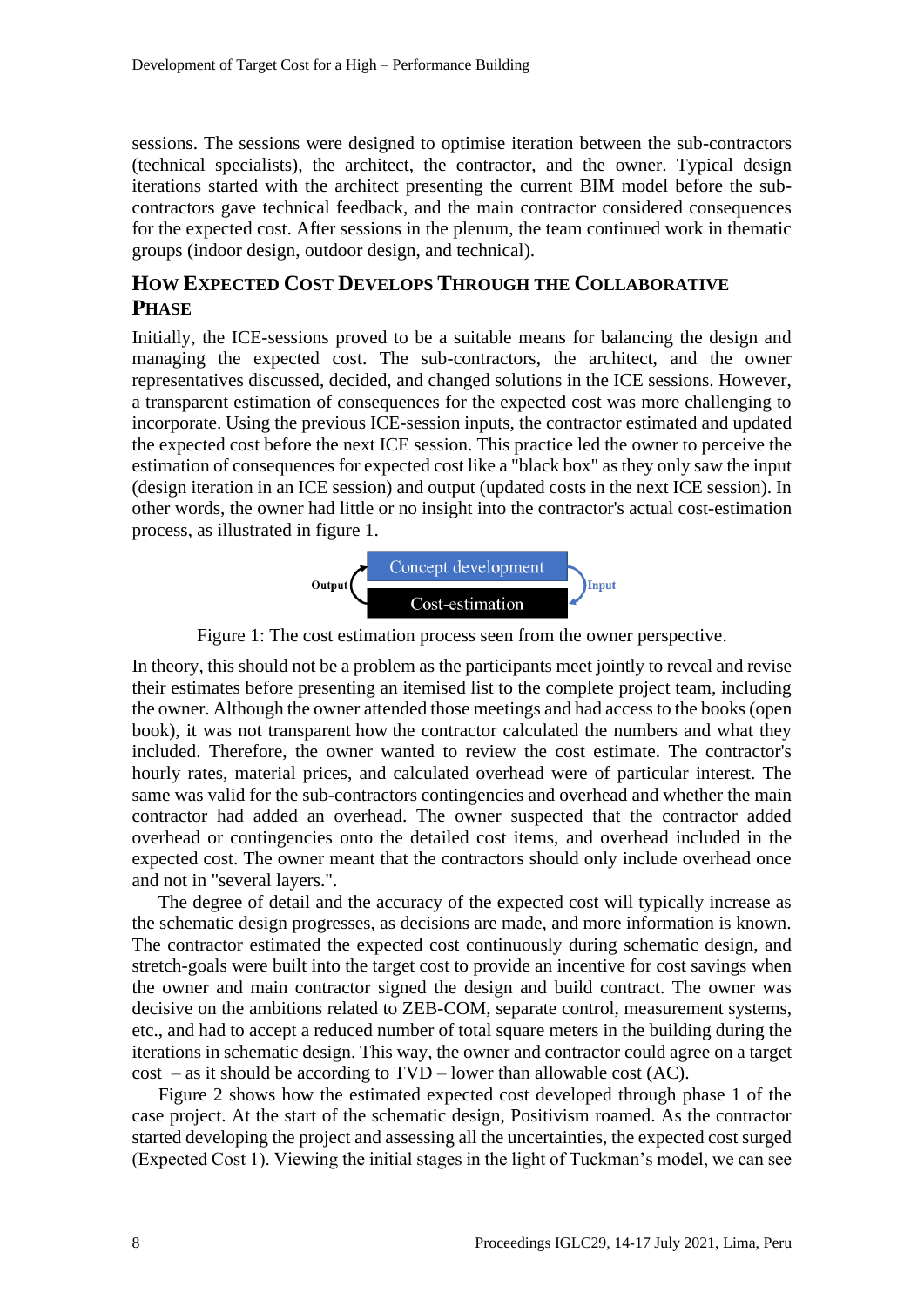sessions. The sessions were designed to optimise iteration between the sub-contractors (technical specialists), the architect, the contractor, and the owner. Typical design iterations started with the architect presenting the current BIM model before the subcontractors gave technical feedback, and the main contractor considered consequences for the expected cost. After sessions in the plenum, the team continued work in thematic groups (indoor design, outdoor design, and technical).

### **HOW EXPECTED COST DEVELOPS THROUGH THE COLLABORATIVE PHASE**

Initially, the ICE-sessions proved to be a suitable means for balancing the design and managing the expected cost. The sub-contractors, the architect, and the owner representatives discussed, decided, and changed solutions in the ICE sessions. However, a transparent estimation of consequences for the expected cost was more challenging to incorporate. Using the previous ICE-session inputs, the contractor estimated and updated the expected cost before the next ICE session. This practice led the owner to perceive the estimation of consequences for expected cost like a "black box" as they only saw the input (design iteration in an ICE session) and output (updated costs in the next ICE session). In other words, the owner had little or no insight into the contractor's actual cost-estimation process, as illustrated in figure 1.



Figure 1: The cost estimation process seen from the owner perspective.

In theory, this should not be a problem as the participants meet jointly to reveal and revise their estimates before presenting an itemised list to the complete project team, including the owner. Although the owner attended those meetings and had access to the books (open book), it was not transparent how the contractor calculated the numbers and what they included. Therefore, the owner wanted to review the cost estimate. The contractor's hourly rates, material prices, and calculated overhead were of particular interest. The same was valid for the sub-contractors contingencies and overhead and whether the main contractor had added an overhead. The owner suspected that the contractor added overhead or contingencies onto the detailed cost items, and overhead included in the expected cost. The owner meant that the contractors should only include overhead once and not in "several layers.".

The degree of detail and the accuracy of the expected cost will typically increase as the schematic design progresses, as decisions are made, and more information is known. The contractor estimated the expected cost continuously during schematic design, and stretch-goals were built into the target cost to provide an incentive for cost savings when the owner and main contractor signed the design and build contract. The owner was decisive on the ambitions related to ZEB-COM, separate control, measurement systems, etc., and had to accept a reduced number of total square meters in the building during the iterations in schematic design. This way, the owner and contractor could agree on a target  $cost - as it should be according to TVD - lower than allowable cost (AC).$ 

Figure 2 shows how the estimated expected cost developed through phase 1 of the case project. At the start of the schematic design, Positivism roamed. As the contractor started developing the project and assessing all the uncertainties, the expected cost surged (Expected Cost 1). Viewing the initial stages in the light of Tuckman's model, we can see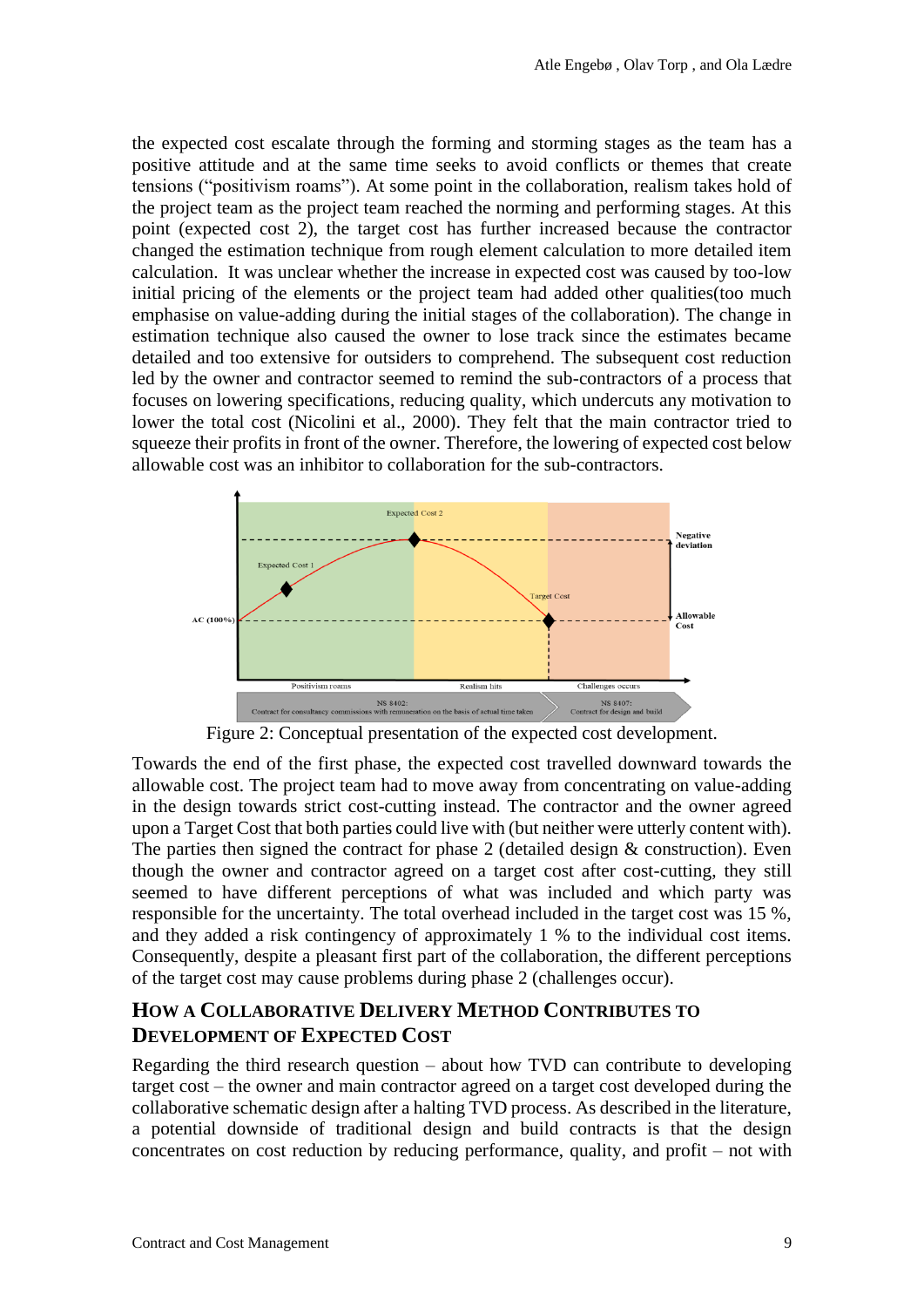the expected cost escalate through the forming and storming stages as the team has a positive attitude and at the same time seeks to avoid conflicts or themes that create tensions ("positivism roams"). At some point in the collaboration, realism takes hold of the project team as the project team reached the norming and performing stages. At this point (expected cost 2), the target cost has further increased because the contractor changed the estimation technique from rough element calculation to more detailed item calculation. It was unclear whether the increase in expected cost was caused by too-low initial pricing of the elements or the project team had added other qualities(too much emphasise on value-adding during the initial stages of the collaboration). The change in estimation technique also caused the owner to lose track since the estimates became detailed and too extensive for outsiders to comprehend. The subsequent cost reduction led by the owner and contractor seemed to remind the sub-contractors of a process that focuses on lowering specifications, reducing quality, which undercuts any motivation to lower the total cost (Nicolini et al., 2000). They felt that the main contractor tried to squeeze their profits in front of the owner. Therefore, the lowering of expected cost below allowable cost was an inhibitor to collaboration for the sub-contractors.



Figure 2: Conceptual presentation of the expected cost development.

Towards the end of the first phase, the expected cost travelled downward towards the allowable cost. The project team had to move away from concentrating on value-adding in the design towards strict cost-cutting instead. The contractor and the owner agreed upon a Target Cost that both parties could live with (but neither were utterly content with). The parties then signed the contract for phase 2 (detailed design & construction). Even though the owner and contractor agreed on a target cost after cost-cutting, they still seemed to have different perceptions of what was included and which party was responsible for the uncertainty. The total overhead included in the target cost was 15 %, and they added a risk contingency of approximately 1 % to the individual cost items. Consequently, despite a pleasant first part of the collaboration, the different perceptions of the target cost may cause problems during phase 2 (challenges occur).

### **HOW A COLLABORATIVE DELIVERY METHOD CONTRIBUTES TO DEVELOPMENT OF EXPECTED COST**

Regarding the third research question – about how TVD can contribute to developing target cost – the owner and main contractor agreed on a target cost developed during the collaborative schematic design after a halting TVD process. As described in the literature, a potential downside of traditional design and build contracts is that the design concentrates on cost reduction by reducing performance, quality, and profit – not with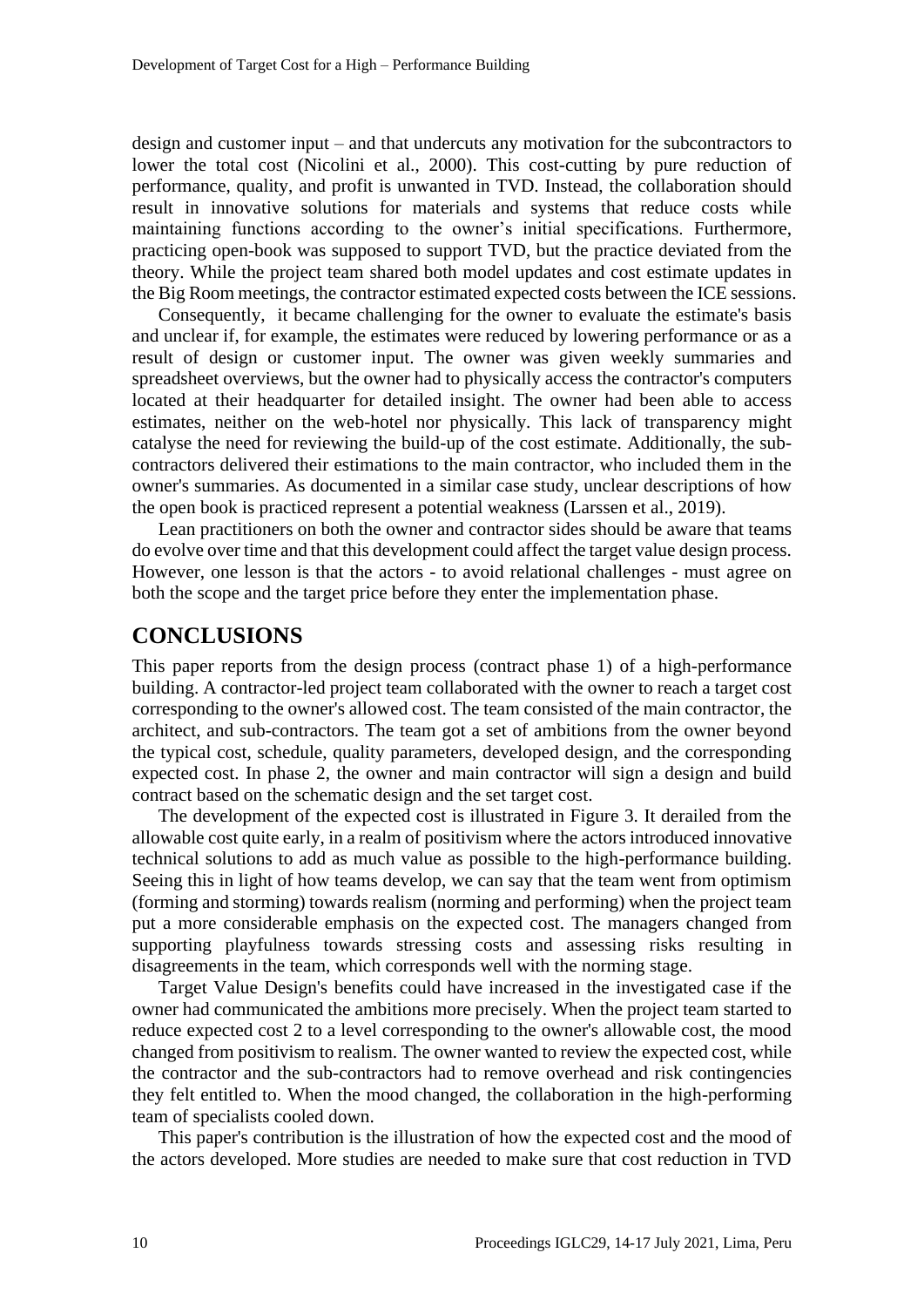design and customer input – and that undercuts any motivation for the subcontractors to lower the total cost (Nicolini et al., 2000). This cost-cutting by pure reduction of performance, quality, and profit is unwanted in TVD. Instead, the collaboration should result in innovative solutions for materials and systems that reduce costs while maintaining functions according to the owner's initial specifications. Furthermore, practicing open-book was supposed to support TVD, but the practice deviated from the theory. While the project team shared both model updates and cost estimate updates in the Big Room meetings, the contractor estimated expected costs between the ICE sessions.

Consequently, it became challenging for the owner to evaluate the estimate's basis and unclear if, for example, the estimates were reduced by lowering performance or as a result of design or customer input. The owner was given weekly summaries and spreadsheet overviews, but the owner had to physically access the contractor's computers located at their headquarter for detailed insight. The owner had been able to access estimates, neither on the web-hotel nor physically. This lack of transparency might catalyse the need for reviewing the build-up of the cost estimate. Additionally, the subcontractors delivered their estimations to the main contractor, who included them in the owner's summaries. As documented in a similar case study, unclear descriptions of how the open book is practiced represent a potential weakness (Larssen et al., 2019).

Lean practitioners on both the owner and contractor sides should be aware that teams do evolve over time and that this development could affect the target value design process. However, one lesson is that the actors - to avoid relational challenges - must agree on both the scope and the target price before they enter the implementation phase.

### **CONCLUSIONS**

This paper reports from the design process (contract phase 1) of a high-performance building. A contractor-led project team collaborated with the owner to reach a target cost corresponding to the owner's allowed cost. The team consisted of the main contractor, the architect, and sub-contractors. The team got a set of ambitions from the owner beyond the typical cost, schedule, quality parameters, developed design, and the corresponding expected cost. In phase 2, the owner and main contractor will sign a design and build contract based on the schematic design and the set target cost.

The development of the expected cost is illustrated in Figure 3. It derailed from the allowable cost quite early, in a realm of positivism where the actors introduced innovative technical solutions to add as much value as possible to the high-performance building. Seeing this in light of how teams develop, we can say that the team went from optimism (forming and storming) towards realism (norming and performing) when the project team put a more considerable emphasis on the expected cost. The managers changed from supporting playfulness towards stressing costs and assessing risks resulting in disagreements in the team, which corresponds well with the norming stage.

Target Value Design's benefits could have increased in the investigated case if the owner had communicated the ambitions more precisely. When the project team started to reduce expected cost 2 to a level corresponding to the owner's allowable cost, the mood changed from positivism to realism. The owner wanted to review the expected cost, while the contractor and the sub-contractors had to remove overhead and risk contingencies they felt entitled to. When the mood changed, the collaboration in the high-performing team of specialists cooled down.

This paper's contribution is the illustration of how the expected cost and the mood of the actors developed. More studies are needed to make sure that cost reduction in TVD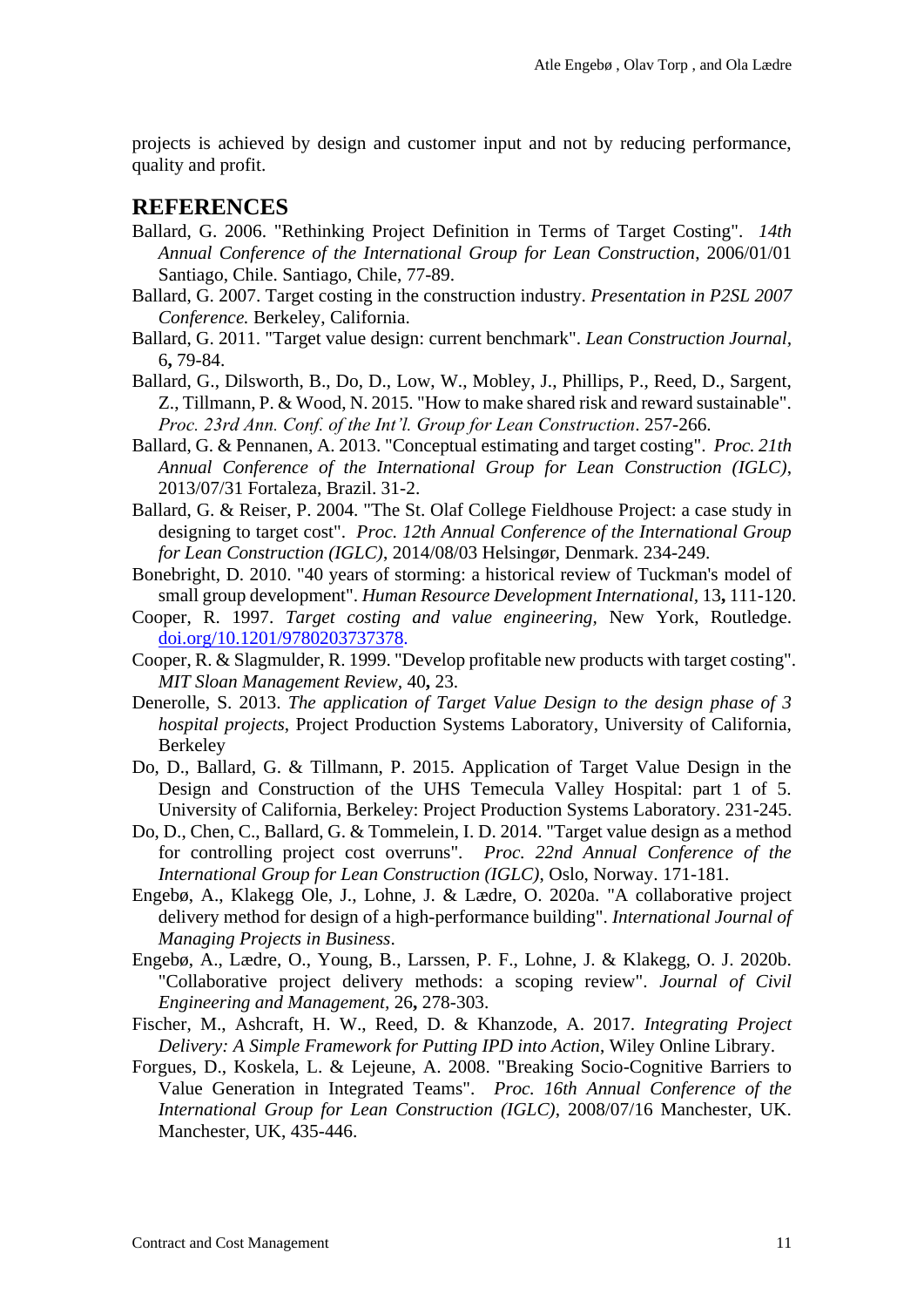projects is achieved by design and customer input and not by reducing performance, quality and profit.

### **REFERENCES**

- Ballard, G. 2006. "Rethinking Project Definition in Terms of Target Costing". *14th Annual Conference of the International Group for Lean Construction*, 2006/01/01 Santiago, Chile. Santiago, Chile, 77-89.
- Ballard, G. 2007. Target costing in the construction industry. *Presentation in P2SL 2007 Conference.* Berkeley, California.
- Ballard, G. 2011. "Target value design: current benchmark". *Lean Construction Journal,* 6**,** 79-84.
- Ballard, G., Dilsworth, B., Do, D., Low, W., Mobley, J., Phillips, P., Reed, D., Sargent, Z., Tillmann, P. & Wood, N. 2015. "How to make shared risk and reward sustainable". *Proc. 23rd Ann. Conf. of the Int'l. Group for Lean Construction*. 257-266.
- Ballard, G. & Pennanen, A. 2013. "Conceptual estimating and target costing". *Proc. 21th Annual Conference of the International Group for Lean Construction (IGLC)*, 2013/07/31 Fortaleza, Brazil. 31-2.
- Ballard, G. & Reiser, P. 2004. "The St. Olaf College Fieldhouse Project: a case study in designing to target cost". *Proc. 12th Annual Conference of the International Group for Lean Construction (IGLC)*, 2014/08/03 Helsingør, Denmark. 234-249.
- Bonebright, D. 2010. "40 years of storming: a historical review of Tuckman's model of small group development". *Human Resource Development International,* 13**,** 111-120.
- Cooper, R. 1997. *Target costing and value engineering,* New York, Routledge. [doi.org/10.1201/9780203737378.](https://doi.org/10.1201/9780203737378)
- Cooper, R. & Slagmulder, R. 1999. "Develop profitable new products with target costing". *MIT Sloan Management Review,* 40**,** 23.
- Denerolle, S. 2013. *The application of Target Value Design to the design phase of 3 hospital projects*, Project Production Systems Laboratory, University of California, Berkeley
- Do, D., Ballard, G. & Tillmann, P. 2015. Application of Target Value Design in the Design and Construction of the UHS Temecula Valley Hospital: part 1 of 5. University of California, Berkeley: Project Production Systems Laboratory. 231-245.
- Do, D., Chen, C., Ballard, G. & Tommelein, I. D. 2014. "Target value design as a method for controlling project cost overruns". *Proc. 22nd Annual Conference of the International Group for Lean Construction (IGLC)*, Oslo, Norway. 171-181.
- Engebø, A., Klakegg Ole, J., Lohne, J. & Lædre, O. 2020a. "A collaborative project delivery method for design of a high-performance building". *International Journal of Managing Projects in Business*.
- Engebø, A., Lædre, O., Young, B., Larssen, P. F., Lohne, J. & Klakegg, O. J. 2020b. "Collaborative project delivery methods: a scoping review". *Journal of Civil Engineering and Management,* 26**,** 278-303.
- Fischer, M., Ashcraft, H. W., Reed, D. & Khanzode, A. 2017. *Integrating Project Delivery: A Simple Framework for Putting IPD into Action*, Wiley Online Library.
- Forgues, D., Koskela, L. & Lejeune, A. 2008. "Breaking Socio-Cognitive Barriers to Value Generation in Integrated Teams". *Proc. 16th Annual Conference of the International Group for Lean Construction (IGLC)*, 2008/07/16 Manchester, UK. Manchester, UK, 435-446.